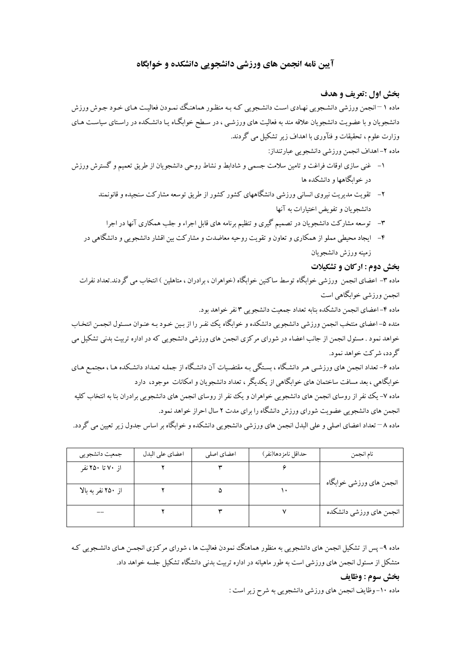# آیین نامه انجمن های ورزشی دانشجویی دانشکده و خوابگاه

## بخش اول :تعريف و هدف

ماده ۱ –انجمن ورزشی دانشـجویی نهـادی اسـت دانشـجویی کـه بـه منظـور هماهنـگ نمـودن فعالیـت هـای خـود جـوش ورزش دانشجویان و با عضویت دانشجویان علاقه مند به فعالیت های ورزشـی ، در سـطح خوابگـاه یـا دانشـکده در راسـتای سیاسـت هـای وزارت علوم، تحقیقات و فنآوری با اهداف زیر تشکیل می گردند.

# ماده ٢-اهداف انجمن ورزشي دانشجويي عبارتنداز:

- ۱– غنی سازی اوقات فراغت و تامین سلامت جسمی و شادابط و نشاط روحی دانشجویان از طریق تعمیم و گسترش ورزش در خوابگاهها و دانشکده ها
	- ۲– تقویت مدیریت نیروی انسانی ورزشی دانشگاههای کشور کشور از طریق توسعه مشارکت سنجیده و قانونمند دانشجویان و تفویض اختیارات به آنها
		- ۳- توسعه مشارکت دانشجویان در تصمیم گیری و تنظیم برنامه های قابل اجراء و جلب همکاری آنها در اجرا
	- ۴– ایجاد محیطی مملو از همکاری و تعاون و تقویت روحیه معاضدت و مشارکت بین اقشار دانشجویی و دانشگاهی در زمينه ورزش دانشجويان

### بخش دوم : اركان و تشكيلات

ماده ۳- اعضای انجمن ورزشی خوابگاه توسط ساکنین خوابگاه (خواهران ، برادران ، متاهلین ) انتخاب می گردند.تعداد نفرات انجمن ورزشي خوابگاهي است

ماده ۴–اعضای انجمن دانشکده بنابه تعداد جمعیت دانشجو پی ۳ نفر خواهد بود.

متده ۵-اعضاي منتخب انجمن ورزشي دانشجويي دانشكده و خوابگاه يك نفـر را از بـين خـود بـه عنـوان مسـئول انجمـن انتخـاب خواهد نمود . مسئول انجمن از جانب اعضاء در شوراي مركزي انجمن هاي ورزشي دانشجويي كه در اداره تربيت بدني تشكيل مي گر دد، شرکت خواهد نمود.

ماده ۶– تعداد انجمن های ورزشبی هـر دانشگاه ، بسـتگی بـه مقتضـیات آن دانشـگاه از جملـه تعـداد دانشـکده هـا ، مجتمـع هـای خوابگاهی ، بعد مسافت ساختمان های خوابگاهی از یکدیگر ، تعداد دانشجویان و امکانات موجود، دارد ماده ۷- یک نفر از روسای انجمن های دانشجویی خواهران و یک نفر از روسای انجمن های دانشجویی برادران بنا به انتخاب کلیه انجمن های دانشجو پی عضویت شورای ورزش دانشگاه را برای مدت ۲ سال احراز خواهد نمود.

ماده ۸ – تعداد اعضای اصلی و علی البدل انجمن های ورزشی دانشجویی دانشکده و خوابگاه بر اساس جدول زیر تعیین می گردد.

| جمعیت دانشجویبی    | اعضاي على البدل | اعضای اصلی | حداقل نامزدها(نفر) | نام انجمن               |
|--------------------|-----------------|------------|--------------------|-------------------------|
| از ۷۰ تا ۲۵۰ نفر   |                 |            |                    | انجمن های ورزشی خوابگاه |
| از ۲۵۰ نفر به بالا |                 |            |                    |                         |
|                    |                 |            |                    | انجمن های ورزشی دانشکده |

ماده ۹– یس از تشکیل انجمن های دانشجویی به منظور هماهنگ نمودن فعالیت ها ، شورای مرکـزی انجمـن هـای دانشـجویی کـه متشکل از مسئول انجمن های ورزشی است به طور ماهیانه در اداره تربیت بدنی دانشگاه تشکیل جلسه خواهد داد.

### بخش سوم : وظايف

ماده ۱۰- وظایف انجمن های ورزشی دانشجویی به شرح زیر است :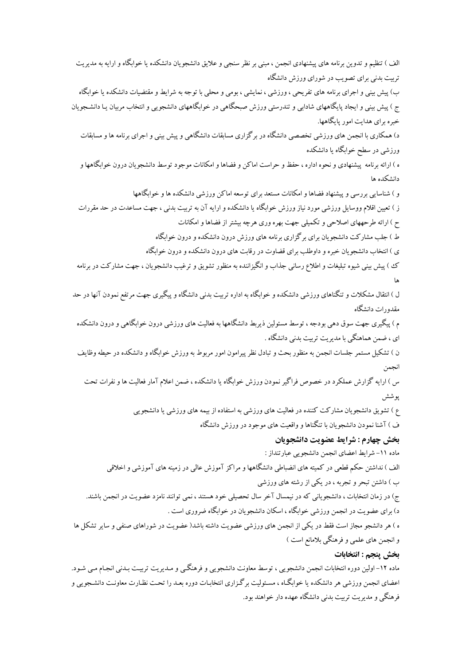الف ) تنظیم و تدوین برنامه های پیشنهادی انجمن ، مبنی بر نظر سنجی و علایق دانشجویان دانشکده یا خوابگاه و ارایه به مدیریت تربیت بدنی برای تصویب در شورای ورزش دانشگاه ب) پیش بینی و اجرای برنامه های تفریحی ، ورزشی ، نمایشی ، بومی و محلی با توجه به شرایط و مقتضیات دانشکده یا خوابگاه ج ) پیش بینی و ایجاد پایگاههای شادابی و تندرستی ورزش صبحگاهی در خوابگاههای دانشجویی و انتخاب مربیان یـا دانشـجویان خبره برای هدایت امور پایگاهها. د) همکاری با انجمن های ورزشی تخصصی دانشگاه در برگزاری مسابقات دانشگاهی و پیش بینی و اجرای برنامه ها و مسابقات ورزشی در سطح خوابگاه یا دانشکده ه ) ارائه برنامه پیشنهادی و نحوه اداره ، حفظ و حراست اماکن و فضاها و امکانات موجود توسط دانشجویان درون خوابگاهها و دانشكده ها و ) شناسایی بررسی و پیشنهاد فضاها و امکانات مستعد برای توسعه اماکن ورزشی دانشکده ها و خواںگاهها ز ) تعیین اقلام ووسایل ورزشی مورد نیاز ورزش خوابگاه یا دانشکده و ارایه آن به تربیت بدنی ، جهت مساعدت در حد مقررات ح ) ارائه طرحههای اصلاحی و تکمیلی جهت بهره وری هرچه بیشتر از فضاها و امکانات ط ) جلب مشارکت دانشجویان برای برگزاری برنامه های ورزش درون دانشکده و درون خوابگاه ی ) انتخاب دانشجویان خبره و داوطلب برای قضاوت در رقابت های درون دانشکده و درون خوابگاه ک ) پیش بینی شیوه تبلیغات و اطلاع رسانی جذاب و انگیزاننده به منظور تشویق و ترغیب دانشجویان ، جهت مشارکت در برنامه ها ل ) انتقال مشکلات و تنگناهای ورزشم دانشکده و خوابگاه به اداره تربیت بدنی دانشگاه و پیگیری جهت مرتفع نمودن آنها در حد مقدورات دانشگاه م ) پیگیری جهت سوق دهی بودجه ، توسط مسئولین ذیربط دانشگاهها به فعالیت های ورزشی درون خوابگاهی و درون دانشکده ای ، ضمن هماهنگی با مدیریت تربیت بدنی دانشگاه . ن ) تشکیل مستمر جلسات انجمن به منظور بحث و تبادل نظر پیرامون امور مربوط به ورزش خوابگاه و دانشکده در حیطه وظایف انجمن س ) ارایه گزارش عملکرد در خصوص فراگیر نمودن ورزش خوابگاه یا دانشکده ، ضمن اعلام آمار فعالیت ها و نفرات تحت يو شش ع ) تشویق دانشجویان مشارکت کننده در فعالیت های ورزشی به استفاده از بیمه های ورزشی یا دانشجویی ف ) آشنا نمودن دانشجو پان با تنگناها و واقعیت های موجود در ورزش دانشگاه بخش چهارم : شرايط عضويت دانشجويان ماده ١١- شرايط اعضاي انجمن دانشجويي عبارتنداز : الف ) نداشتن حکم قطعی در کمیته های انضباطی دانشگاهها و مراکز آموزش عالی در زمینه های آموزشی و اخلاقی ب ) داشتن تبحر و تجربه ، در یکی از رشته های ورزشی ج) در زمان انتخابات ، دانشجو پانی که در نیمسال آخر سال تحصیلی خود هستند ، نمی توانند نامزد عضویت در انجمن باشند. د) برای عضویت در انجمن ورزشی خوابگاه ، اسکان دانشجویان در خوابگاه ضروری است . ه ) هر دانشجو مجاز است فقط در یکی از انجمن های ورزشی عضویت داشته باشد( عضویت در شوراهای صنفی و سایر تشکل ها و انجمن های علمی و فرهنگی بلامانع است ) بخش ينجم : انتخابات ماده ١٢- اولین دوره انتخابات انجمن دانشجویی ، توسط معاونت دانشجویی و فرهنگی و مـدیریت تربیـت بـدنی انجـام مـی شـود. اعضای انجمن ورزشی هر دانشکده یا خوابگـاه ، مسـئولیت برگـزاری انتخابـات دوره بعـد را تحـت نظـارت معاونـت دانشـجویی و

فرهنگی و مدیریت تربیت بدنی دانشگاه عهده دار خواهند بود.